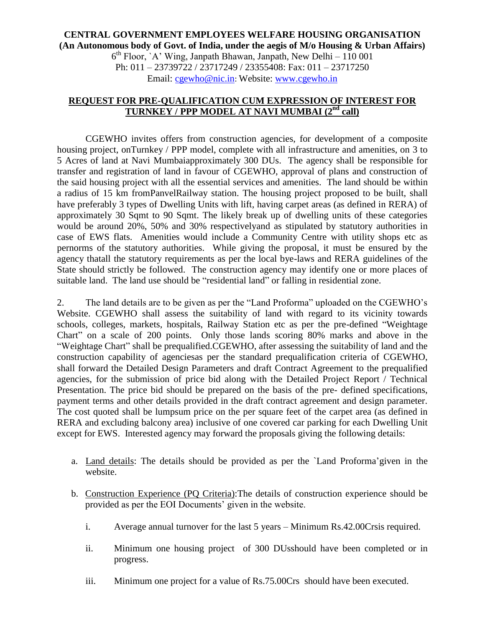## **CENTRAL GOVERNMENT EMPLOYEES WELFARE HOUSING ORGANISATION (An Autonomous body of Govt. of India, under the aegis of M/o Housing & Urban Affairs)**

6 th Floor, `A' Wing, Janpath Bhawan, Janpath, New Delhi – 110 001 Ph: 011 – 23739722 / 23717249 / 23355408: Fax: 011 – 23717250 Email: [cgewho@nic.in](mailto:cgewho@nic.in): Website: [www.cgewho.in](http://www.cgewho.in/)

## **REQUEST FOR PRE-QUALIFICATION CUM EXPRESSION OF INTEREST FOR TURNKEY / PPP MODEL AT NAVI MUMBAI (2nd call)**

CGEWHO invites offers from construction agencies, for development of a composite housing project, onTurnkey / PPP model, complete with all infrastructure and amenities, on 3 to 5 Acres of land at Navi Mumbaiapproximately 300 DUs. The agency shall be responsible for transfer and registration of land in favour of CGEWHO, approval of plans and construction of the said housing project with all the essential services and amenities. The land should be within a radius of 15 km fromPanvelRailway station. The housing project proposed to be built, shall have preferably 3 types of Dwelling Units with lift, having carpet areas (as defined in RERA) of approximately 30 Sqmt to 90 Sqmt. The likely break up of dwelling units of these categories would be around 20%, 50% and 30% respectivelyand as stipulated by statutory authorities in case of EWS flats. Amenities would include a Community Centre with utility shops etc as pernorms of the statutory authorities. While giving the proposal, it must be ensured by the agency thatall the statutory requirements as per the local bye-laws and RERA guidelines of the State should strictly be followed. The construction agency may identify one or more places of suitable land. The land use should be "residential land" or falling in residential zone.

2. The land details are to be given as per the "Land Proforma" uploaded on the CGEWHO's Website. CGEWHO shall assess the suitability of land with regard to its vicinity towards schools, colleges, markets, hospitals, Railway Station etc as per the pre-defined "Weightage Chart" on a scale of 200 points. Only those lands scoring 80% marks and above in the "Weightage Chart" shall be prequalified.CGEWHO, after assessing the suitability of land and the construction capability of agenciesas per the standard prequalification criteria of CGEWHO, shall forward the Detailed Design Parameters and draft Contract Agreement to the prequalified agencies, for the submission of price bid along with the Detailed Project Report / Technical Presentation. The price bid should be prepared on the basis of the pre- defined specifications, payment terms and other details provided in the draft contract agreement and design parameter. The cost quoted shall be lumpsum price on the per square feet of the carpet area (as defined in RERA and excluding balcony area) inclusive of one covered car parking for each Dwelling Unit except for EWS. Interested agency may forward the proposals giving the following details:

- a. Land details: The details should be provided as per the `Land Proforma'given in the website.
- b. Construction Experience (PQ Criteria):The details of construction experience should be provided as per the EOI Documents' given in the website.
	- i. Average annual turnover for the last 5 years Minimum Rs.42.00Crsis required.
	- ii. Minimum one housing project of 300 DUsshould have been completed or in progress.
	- iii. Minimum one project for a value of Rs.75.00Crs should have been executed.